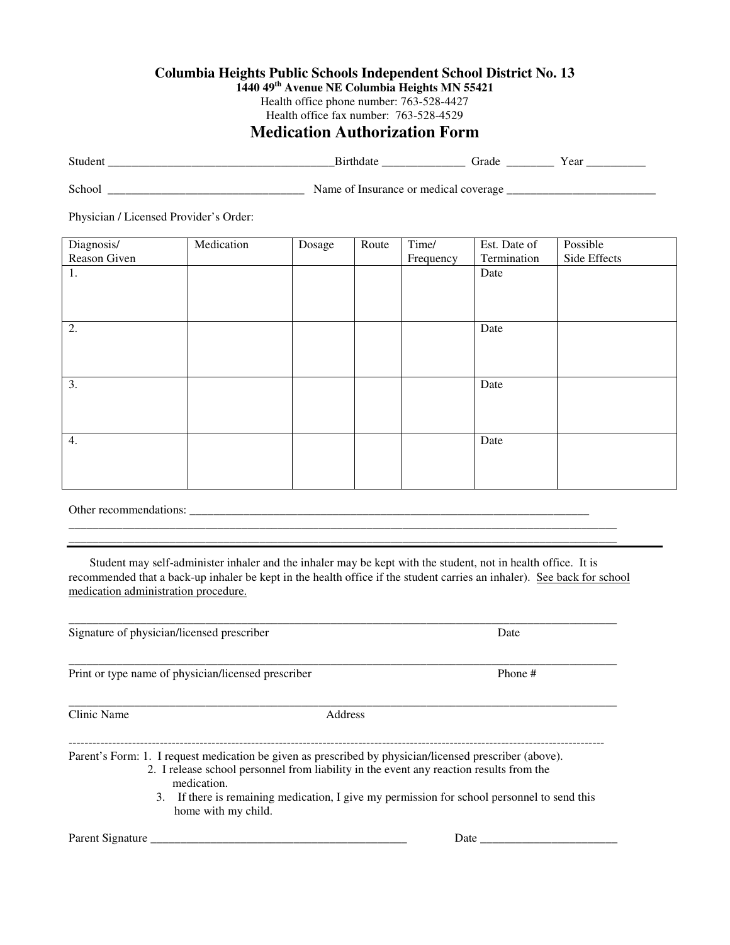## **Columbia Heights Public Schools Independent School District No. 13**

**1440 49th Avenue NE Columbia Heights MN 55421**

Health office phone number: 763-528-4427 Health office fax number: 763-528-4529

## **Medication Authorization Form**

| Student | Birthdat                              | `irade | Year |
|---------|---------------------------------------|--------|------|
| School  | Name of Insurance or medical coverage |        |      |

Physician / Licensed Provider's Order:

| Diagnosis/   | Medication | Dosage | Route | Time/     | Est. Date of | Possible     |
|--------------|------------|--------|-------|-----------|--------------|--------------|
| Reason Given |            |        |       | Frequency | Termination  | Side Effects |
| 1.           |            |        |       |           | Date         |              |
|              |            |        |       |           |              |              |
|              |            |        |       |           |              |              |
|              |            |        |       |           |              |              |
| 2.           |            |        |       |           | Date         |              |
|              |            |        |       |           |              |              |
|              |            |        |       |           |              |              |
|              |            |        |       |           |              |              |
| 3.           |            |        |       |           | Date         |              |
|              |            |        |       |           |              |              |
|              |            |        |       |           |              |              |
|              |            |        |       |           |              |              |
| 4.           |            |        |       |           | Date         |              |
|              |            |        |       |           |              |              |
|              |            |        |       |           |              |              |
|              |            |        |       |           |              |              |

Other recommendations: \_\_\_\_\_\_\_\_\_\_\_\_\_\_\_\_\_\_\_\_\_\_\_\_\_\_\_\_\_\_\_\_\_\_\_\_\_\_\_\_\_\_\_\_\_\_\_\_\_\_\_\_\_\_\_\_\_\_\_\_\_\_\_\_\_\_\_

Student may self-administer inhaler and the inhaler may be kept with the student, not in health office. It is recommended that a back-up inhaler be kept in the health office if the student carries an inhaler). See back for school medication administration procedure.

\_\_\_\_\_\_\_\_\_\_\_\_\_\_\_\_\_\_\_\_\_\_\_\_\_\_\_\_\_\_\_\_\_\_\_\_\_\_\_\_\_\_\_\_\_\_\_\_\_\_\_\_\_\_\_\_\_\_\_\_\_\_\_\_\_\_\_\_\_\_\_\_\_\_\_\_\_\_\_\_\_\_\_\_\_\_\_\_\_\_\_\_ \_\_\_\_\_\_\_\_\_\_\_\_\_\_\_\_\_\_\_\_\_\_\_\_\_\_\_\_\_\_\_\_\_\_\_\_\_\_\_\_\_\_\_\_\_\_\_\_\_\_\_\_\_\_\_\_\_\_\_\_\_\_\_\_\_\_\_\_\_\_\_\_\_\_\_\_\_\_\_\_\_\_\_\_\_\_\_\_\_\_\_\_

| Signature of physician/licensed prescriber          |                                                                                                                                                                                                    | Date                                                                                     |  |
|-----------------------------------------------------|----------------------------------------------------------------------------------------------------------------------------------------------------------------------------------------------------|------------------------------------------------------------------------------------------|--|
| Print or type name of physician/licensed prescriber |                                                                                                                                                                                                    | Phone #                                                                                  |  |
| Clinic Name                                         | Address                                                                                                                                                                                            |                                                                                          |  |
| medication.<br>3.<br>home with my child.            | Parent's Form: 1. I request medication be given as prescribed by physician/licensed prescriber (above).<br>2. I release school personnel from liability in the event any reaction results from the | If there is remaining medication, I give my permission for school personnel to send this |  |
| Parent Signature                                    |                                                                                                                                                                                                    | Date                                                                                     |  |